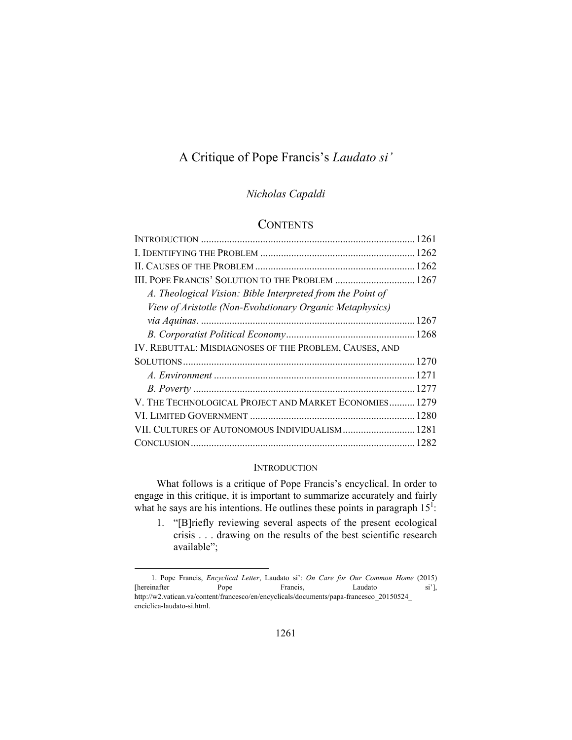# A Critique of Pope Francis's *Laudato si'*

# *Nicholas Capaldi*

# **CONTENTS**

| III. POPE FRANCIS' SOLUTION TO THE PROBLEM  1267           |  |
|------------------------------------------------------------|--|
| A. Theological Vision: Bible Interpreted from the Point of |  |
| View of Aristotle (Non-Evolutionary Organic Metaphysics)   |  |
|                                                            |  |
|                                                            |  |
| IV. REBUTTAL: MISDIAGNOSES OF THE PROBLEM, CAUSES, AND     |  |
|                                                            |  |
|                                                            |  |
|                                                            |  |
| V. THE TECHNOLOGICAL PROJECT AND MARKET ECONOMIES 1279     |  |
|                                                            |  |
| VII. CULTURES OF AUTONOMOUS INDIVIDUALISM 1281             |  |
|                                                            |  |
|                                                            |  |

## **INTRODUCTION**

What follows is a critique of Pope Francis's encyclical. In order to engage in this critique, it is important to summarize accurately and fairly what he says are his intentions. He outlines these points in paragraph  $15<sup>1</sup>$ :

1. "[B]riefly reviewing several aspects of the present ecological crisis . . . drawing on the results of the best scientific research available";

 <sup>1.</sup> Pope Francis, *Encyclical Letter*, Laudato si': *On Care for Our Common Home* (2015) [hereinafter Pope Francis, Laudato si'], http://w2.vatican.va/content/francesco/en/encyclicals/documents/papa-francesco\_20150524\_ enciclica-laudato-si.html.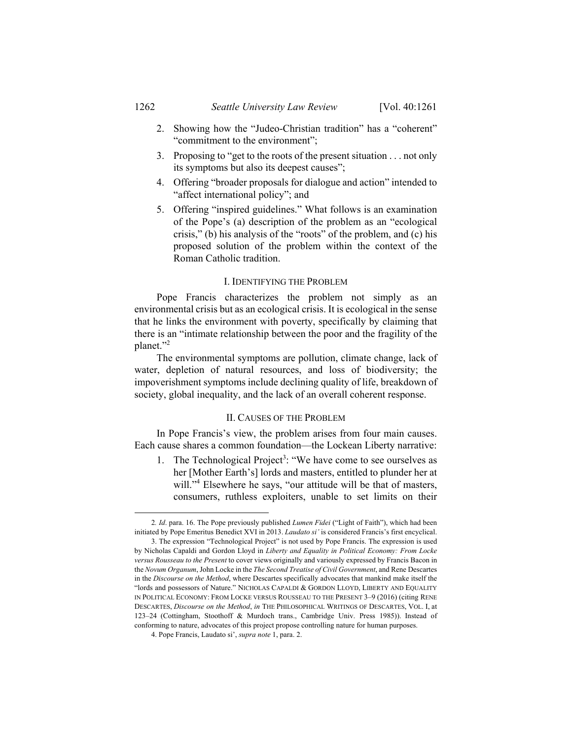- 2. Showing how the "Judeo-Christian tradition" has a "coherent" "commitment to the environment";
- 3. Proposing to "get to the roots of the present situation . . . not only its symptoms but also its deepest causes";
- 4. Offering "broader proposals for dialogue and action" intended to "affect international policy"; and
- 5. Offering "inspired guidelines." What follows is an examination of the Pope's (a) description of the problem as an "ecological crisis," (b) his analysis of the "roots" of the problem, and (c) his proposed solution of the problem within the context of the Roman Catholic tradition.

#### I. IDENTIFYING THE PROBLEM

Pope Francis characterizes the problem not simply as an environmental crisis but as an ecological crisis. It is ecological in the sense that he links the environment with poverty, specifically by claiming that there is an "intimate relationship between the poor and the fragility of the planet."<sup>2</sup>

The environmental symptoms are pollution, climate change, lack of water, depletion of natural resources, and loss of biodiversity; the impoverishment symptoms include declining quality of life, breakdown of society, global inequality, and the lack of an overall coherent response.

#### II. CAUSES OF THE PROBLEM

In Pope Francis's view, the problem arises from four main causes. Each cause shares a common foundation—the Lockean Liberty narrative:

1. The Technological Project<sup>3</sup>: "We have come to see ourselves as her [Mother Earth's] lords and masters, entitled to plunder her at will."<sup>4</sup> Elsewhere he says, "our attitude will be that of masters, consumers, ruthless exploiters, unable to set limits on their

 <sup>2</sup>*. Id*. para. 16. The Pope previously published *Lumen Fidei* ("Light of Faith"), which had been initiated by Pope Emeritus Benedict XVI in 2013. *Laudato si'* is considered Francis's first encyclical.

 <sup>3.</sup> The expression "Technological Project" is not used by Pope Francis. The expression is used by Nicholas Capaldi and Gordon Lloyd in *Liberty and Equality in Political Economy: From Locke versus Rousseau to the Present* to cover views originally and variously expressed by Francis Bacon in the *Novum Organum*, John Locke in the *The Second Treatise of Civil Government*, and Rene Descartes in the *Discourse on the Method*, where Descartes specifically advocates that mankind make itself the "lords and possessors of Nature." NICHOLAS CAPALDI & GORDON LLOYD, LIBERTY AND EQUALITY IN POLITICAL ECONOMY: FROM LOCKE VERSUS ROUSSEAU TO THE PRESENT 3–9 (2016) (citing RENE DESCARTES, *Discourse on the Method*, *in* THE PHILOSOPHICAL WRITINGS OF DESCARTES, VOL. I, at 123–24 (Cottingham, Stoothoff & Murdoch trans., Cambridge Univ. Press 1985)). Instead of conforming to nature, advocates of this project propose controlling nature for human purposes.

 <sup>4.</sup> Pope Francis, Laudato si', *supra note* 1, para. 2.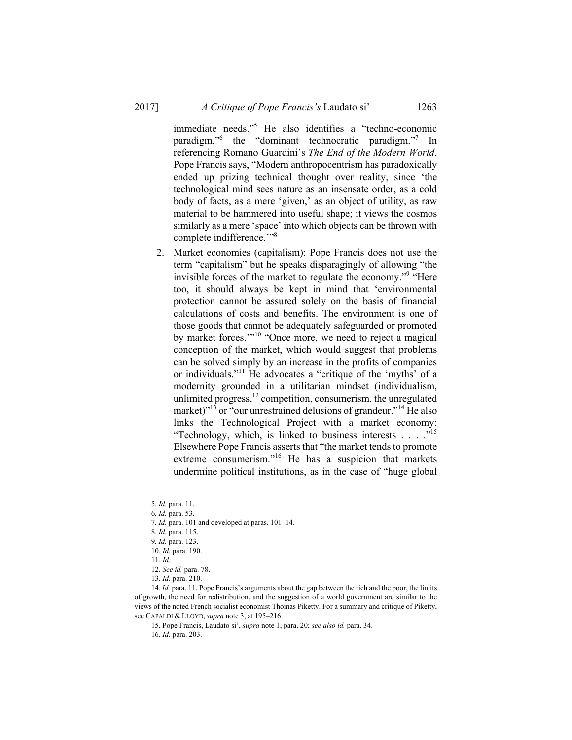immediate needs."<sup>5</sup> He also identifies a "techno-economic paradigm,"<sup>6</sup> the "dominant technocratic paradigm."<sup>7</sup> In referencing Romano Guardini's *The End of the Modern World*, Pope Francis says, "Modern anthropocentrism has paradoxically ended up prizing technical thought over reality, since 'the technological mind sees nature as an insensate order, as a cold body of facts, as a mere 'given,' as an object of utility, as raw material to be hammered into useful shape; it views the cosmos similarly as a mere 'space' into which objects can be thrown with complete indifference.'"8

2. Market economies (capitalism): Pope Francis does not use the term "capitalism" but he speaks disparagingly of allowing "the invisible forces of the market to regulate the economy."<sup>9</sup> "Here too, it should always be kept in mind that 'environmental protection cannot be assured solely on the basis of financial calculations of costs and benefits. The environment is one of those goods that cannot be adequately safeguarded or promoted by market forces."<sup>10</sup> "Once more, we need to reject a magical conception of the market, which would suggest that problems can be solved simply by an increase in the profits of companies or individuals."11 He advocates a "critique of the 'myths' of a modernity grounded in a utilitarian mindset (individualism, unlimited progress, $12$  competition, consumerism, the unregulated market)" $13$  or "our unrestrained delusions of grandeur."<sup>14</sup> He also links the Technological Project with a market economy: "Technology, which, is linked to business interests . . . . .<sup>"15</sup> Elsewhere Pope Francis asserts that "the market tends to promote extreme consumerism."<sup>16</sup> He has a suspicion that markets undermine political institutions, as in the case of "huge global

 <sup>5</sup>*. Id.* para. 11.

<sup>6</sup>*. Id.* para. 53.

<sup>7</sup>*. Id.* para. 101 and developed at paras. 101–14.

<sup>8</sup>*. Id.* para. 115.

<sup>9</sup>*. Id.* para. 123.

<sup>10</sup>*. Id.* para. 190.

<sup>11</sup>*. Id.*

<sup>12</sup>*. See id.* para. 78.

<sup>13</sup>*. Id.* para. 210.

<sup>14</sup>*. Id.* para. 11. Pope Francis's arguments about the gap between the rich and the poor, the limits of growth, the need for redistribution, and the suggestion of a world government are similar to the views of the noted French socialist economist Thomas Piketty. For a summary and critique of Piketty, see CAPALDI & LLOYD, *supra* note 3, at 195–216.

 <sup>15.</sup> Pope Francis, Laudato si', *supra* note 1, para. 20; *see also id.* para. 34.

<sup>16</sup>*. Id.* para. 203.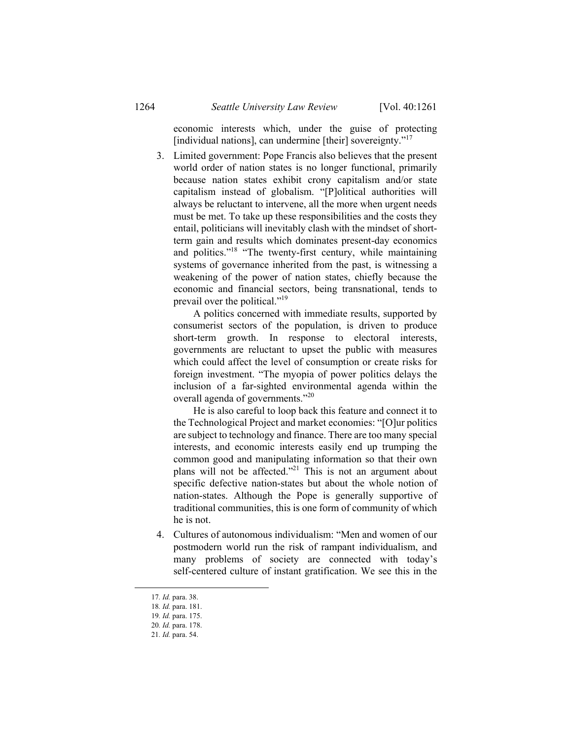economic interests which, under the guise of protecting [individual nations], can undermine [their] sovereignty."<sup>17</sup>

3. Limited government: Pope Francis also believes that the present world order of nation states is no longer functional, primarily because nation states exhibit crony capitalism and/or state capitalism instead of globalism. "[P]olitical authorities will always be reluctant to intervene, all the more when urgent needs must be met. To take up these responsibilities and the costs they entail, politicians will inevitably clash with the mindset of shortterm gain and results which dominates present-day economics and politics."18 "The twenty-first century, while maintaining systems of governance inherited from the past, is witnessing a weakening of the power of nation states, chiefly because the economic and financial sectors, being transnational, tends to prevail over the political."<sup>19</sup>

A politics concerned with immediate results, supported by consumerist sectors of the population, is driven to produce short-term growth. In response to electoral interests, governments are reluctant to upset the public with measures which could affect the level of consumption or create risks for foreign investment. "The myopia of power politics delays the inclusion of a far-sighted environmental agenda within the overall agenda of governments."<sup>20</sup>

He is also careful to loop back this feature and connect it to the Technological Project and market economies: "[O]ur politics are subject to technology and finance. There are too many special interests, and economic interests easily end up trumping the common good and manipulating information so that their own plans will not be affected."<sup>21</sup> This is not an argument about specific defective nation-states but about the whole notion of nation-states. Although the Pope is generally supportive of traditional communities, this is one form of community of which he is not.

4. Cultures of autonomous individualism: "Men and women of our postmodern world run the risk of rampant individualism, and many problems of society are connected with today's self-centered culture of instant gratification. We see this in the

 <sup>17</sup>*. Id.* para. 38.

<sup>18</sup>*. Id.* para. 181.

<sup>19</sup>*. Id.* para. 175.

<sup>20</sup>*. Id.* para. 178.

<sup>21</sup>*. Id.* para. 54.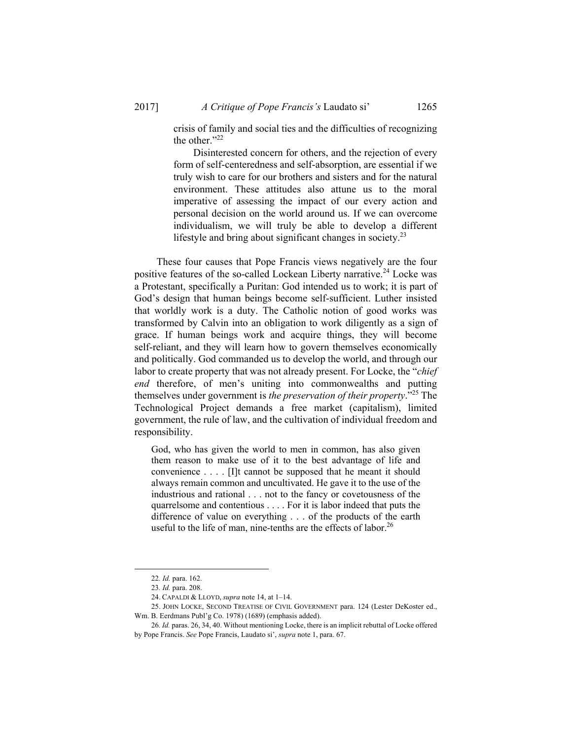crisis of family and social ties and the difficulties of recognizing the other."22

Disinterested concern for others, and the rejection of every form of self-centeredness and self-absorption, are essential if we truly wish to care for our brothers and sisters and for the natural environment. These attitudes also attune us to the moral imperative of assessing the impact of our every action and personal decision on the world around us. If we can overcome individualism, we will truly be able to develop a different lifestyle and bring about significant changes in society.<sup>23</sup>

These four causes that Pope Francis views negatively are the four positive features of the so-called Lockean Liberty narrative.<sup>24</sup> Locke was a Protestant, specifically a Puritan: God intended us to work; it is part of God's design that human beings become self-sufficient. Luther insisted that worldly work is a duty. The Catholic notion of good works was transformed by Calvin into an obligation to work diligently as a sign of grace. If human beings work and acquire things, they will become self-reliant, and they will learn how to govern themselves economically and politically. God commanded us to develop the world, and through our labor to create property that was not already present. For Locke, the "*chief end* therefore, of men's uniting into commonwealths and putting themselves under government is *the preservation of their property*."25 The Technological Project demands a free market (capitalism), limited government, the rule of law, and the cultivation of individual freedom and responsibility.

God, who has given the world to men in common, has also given them reason to make use of it to the best advantage of life and convenience . . . . [I]t cannot be supposed that he meant it should always remain common and uncultivated. He gave it to the use of the industrious and rational . . . not to the fancy or covetousness of the quarrelsome and contentious . . . . For it is labor indeed that puts the difference of value on everything . . . of the products of the earth useful to the life of man, nine-tenths are the effects of labor.<sup>26</sup>

 <sup>22</sup>*. Id.* para. 162.

<sup>23</sup>*. Id.* para. 208.

 <sup>24.</sup> CAPALDI & LLOYD, *supra* note 14, at 1–14.

 <sup>25.</sup> JOHN LOCKE, SECOND TREATISE OF CIVIL GOVERNMENT para. 124 (Lester DeKoster ed., Wm. B. Eerdmans Publ'g Co. 1978) (1689) (emphasis added).

<sup>26</sup>*. Id.* paras. 26, 34, 40. Without mentioning Locke, there is an implicit rebuttal of Locke offered by Pope Francis. *See* Pope Francis, Laudato si', *supra* note 1, para. 67.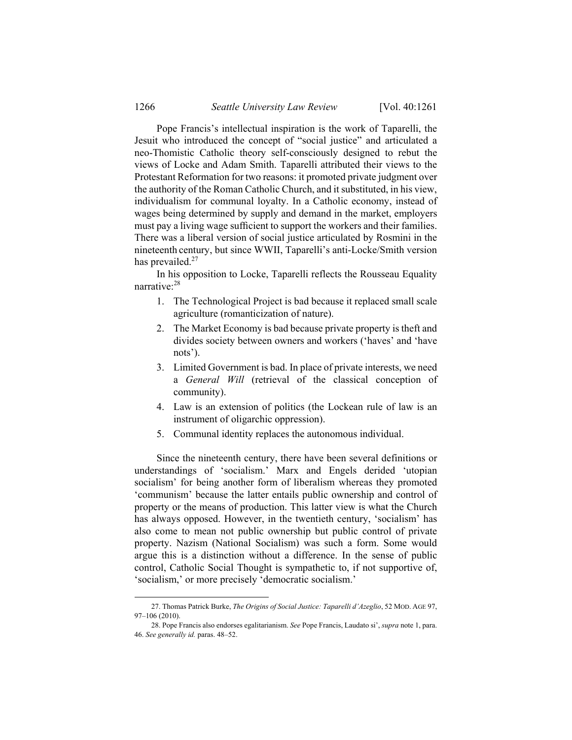Pope Francis's intellectual inspiration is the work of Taparelli, the Jesuit who introduced the concept of "social justice" and articulated a neo-Thomistic Catholic theory self-consciously designed to rebut the views of Locke and Adam Smith. Taparelli attributed their views to the Protestant Reformation for two reasons: it promoted private judgment over the authority of the Roman Catholic Church, and it substituted, in his view, individualism for communal loyalty. In a Catholic economy, instead of wages being determined by supply and demand in the market, employers must pay a living wage sufficient to support the workers and their families. There was a liberal version of social justice articulated by Rosmini in the nineteenth century, but since WWII, Taparelli's anti-Locke/Smith version has prevailed. $27$ 

In his opposition to Locke, Taparelli reflects the Rousseau Equality narrative:<sup>28</sup>

- 1. The Technological Project is bad because it replaced small scale agriculture (romanticization of nature).
- 2. The Market Economy is bad because private property is theft and divides society between owners and workers ('haves' and 'have nots').
- 3. Limited Government is bad. In place of private interests, we need a *General Will* (retrieval of the classical conception of community).
- 4. Law is an extension of politics (the Lockean rule of law is an instrument of oligarchic oppression).
- 5. Communal identity replaces the autonomous individual.

Since the nineteenth century, there have been several definitions or understandings of 'socialism.' Marx and Engels derided 'utopian socialism' for being another form of liberalism whereas they promoted 'communism' because the latter entails public ownership and control of property or the means of production. This latter view is what the Church has always opposed. However, in the twentieth century, 'socialism' has also come to mean not public ownership but public control of private property. Nazism (National Socialism) was such a form. Some would argue this is a distinction without a difference. In the sense of public control, Catholic Social Thought is sympathetic to, if not supportive of, 'socialism,' or more precisely 'democratic socialism.'

 <sup>27.</sup> Thomas Patrick Burke, *The Origins of Social Justice: Taparelli d'Azeglio*, 52 MOD. AGE 97, 97–106 (2010).

 <sup>28.</sup> Pope Francis also endorses egalitarianism. *See* Pope Francis, Laudato si', *supra* note 1, para. 46. *See generally id.* paras. 48–52.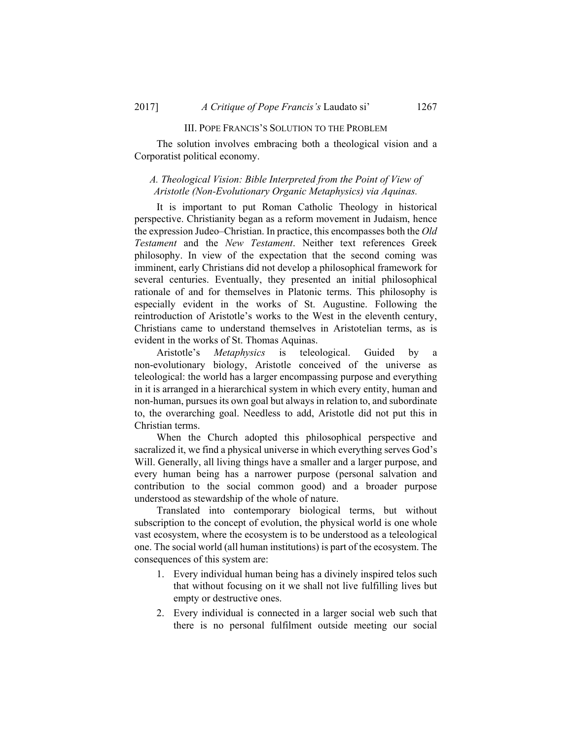### III. POPE FRANCIS'S SOLUTION TO THE PROBLEM

The solution involves embracing both a theological vision and a Corporatist political economy.

# *A. Theological Vision: Bible Interpreted from the Point of View of Aristotle (Non-Evolutionary Organic Metaphysics) via Aquinas.*

It is important to put Roman Catholic Theology in historical perspective. Christianity began as a reform movement in Judaism, hence the expression Judeo–Christian. In practice, this encompasses both the *Old Testament* and the *New Testament*. Neither text references Greek philosophy. In view of the expectation that the second coming was imminent, early Christians did not develop a philosophical framework for several centuries. Eventually, they presented an initial philosophical rationale of and for themselves in Platonic terms. This philosophy is especially evident in the works of St. Augustine. Following the reintroduction of Aristotle's works to the West in the eleventh century, Christians came to understand themselves in Aristotelian terms, as is evident in the works of St. Thomas Aquinas.

Aristotle's *Metaphysics* is teleological. Guided by a non-evolutionary biology, Aristotle conceived of the universe as teleological: the world has a larger encompassing purpose and everything in it is arranged in a hierarchical system in which every entity, human and non-human, pursues its own goal but always in relation to, and subordinate to, the overarching goal. Needless to add, Aristotle did not put this in Christian terms.

When the Church adopted this philosophical perspective and sacralized it, we find a physical universe in which everything serves God's Will. Generally, all living things have a smaller and a larger purpose, and every human being has a narrower purpose (personal salvation and contribution to the social common good) and a broader purpose understood as stewardship of the whole of nature.

Translated into contemporary biological terms, but without subscription to the concept of evolution, the physical world is one whole vast ecosystem, where the ecosystem is to be understood as a teleological one. The social world (all human institutions) is part of the ecosystem. The consequences of this system are:

- 1. Every individual human being has a divinely inspired telos such that without focusing on it we shall not live fulfilling lives but empty or destructive ones.
- 2. Every individual is connected in a larger social web such that there is no personal fulfilment outside meeting our social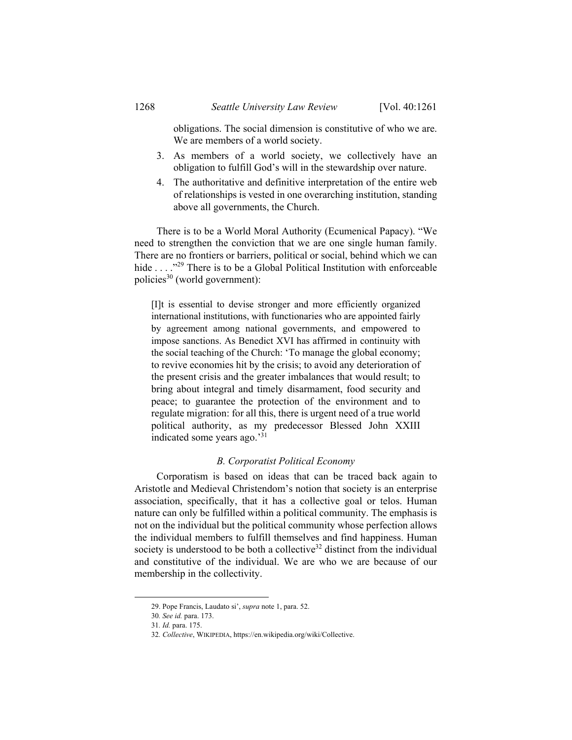obligations. The social dimension is constitutive of who we are. We are members of a world society.

- 3. As members of a world society, we collectively have an obligation to fulfill God's will in the stewardship over nature.
- 4. The authoritative and definitive interpretation of the entire web of relationships is vested in one overarching institution, standing above all governments, the Church.

There is to be a World Moral Authority (Ecumenical Papacy). "We need to strengthen the conviction that we are one single human family. There are no frontiers or barriers, political or social, behind which we can hide . . . .<sup>229</sup> There is to be a Global Political Institution with enforceable policies $30$  (world government):

[I]t is essential to devise stronger and more efficiently organized international institutions, with functionaries who are appointed fairly by agreement among national governments, and empowered to impose sanctions. As Benedict XVI has affirmed in continuity with the social teaching of the Church: 'To manage the global economy; to revive economies hit by the crisis; to avoid any deterioration of the present crisis and the greater imbalances that would result; to bring about integral and timely disarmament, food security and peace; to guarantee the protection of the environment and to regulate migration: for all this, there is urgent need of a true world political authority, as my predecessor Blessed John XXIII indicated some years ago.'31

#### *B. Corporatist Political Economy*

Corporatism is based on ideas that can be traced back again to Aristotle and Medieval Christendom's notion that society is an enterprise association, specifically, that it has a collective goal or telos. Human nature can only be fulfilled within a political community. The emphasis is not on the individual but the political community whose perfection allows the individual members to fulfill themselves and find happiness. Human society is understood to be both a collective<sup>32</sup> distinct from the individual and constitutive of the individual. We are who we are because of our membership in the collectivity.

 <sup>29.</sup> Pope Francis, Laudato si', *supra* note 1, para. 52.

<sup>30</sup>*. See id.* para. 173.

<sup>31</sup>*. Id.* para. 175.

<sup>32</sup>*. Collective*, WIKIPEDIA, https://en.wikipedia.org/wiki/Collective.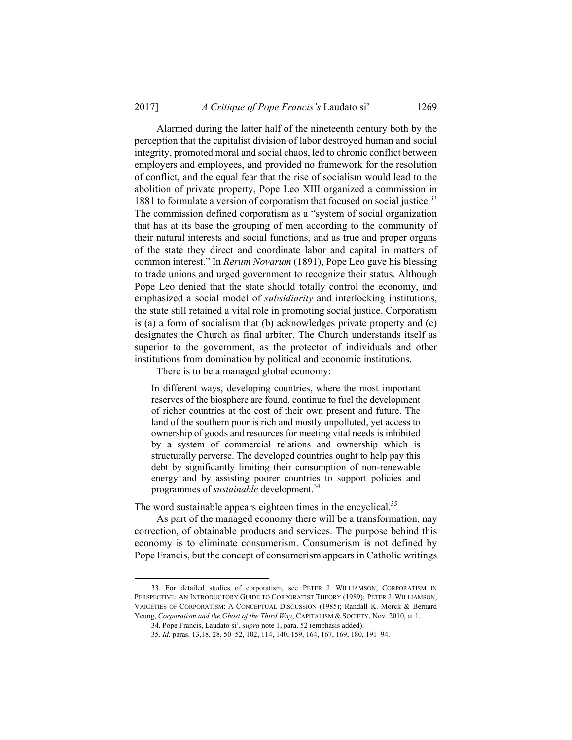Alarmed during the latter half of the nineteenth century both by the perception that the capitalist division of labor destroyed human and social integrity, promoted moral and social chaos, led to chronic conflict between employers and employees, and provided no framework for the resolution of conflict, and the equal fear that the rise of socialism would lead to the abolition of private property, Pope Leo XIII organized a commission in 1881 to formulate a version of corporatism that focused on social justice.<sup>33</sup> The commission defined corporatism as a "system of social organization that has at its base the grouping of men according to the community of their natural interests and social functions, and as true and proper organs of the state they direct and coordinate labor and capital in matters of common interest." In *Rerum Novarum* (1891), Pope Leo gave his blessing to trade unions and urged government to recognize their status. Although Pope Leo denied that the state should totally control the economy, and emphasized a social model of *subsidiarity* and interlocking institutions, the state still retained a vital role in promoting social justice. Corporatism is (a) a form of socialism that (b) acknowledges private property and (c) designates the Church as final arbiter. The Church understands itself as superior to the government, as the protector of individuals and other institutions from domination by political and economic institutions.

There is to be a managed global economy:

In different ways, developing countries, where the most important reserves of the biosphere are found, continue to fuel the development of richer countries at the cost of their own present and future. The land of the southern poor is rich and mostly unpolluted, yet access to ownership of goods and resources for meeting vital needs is inhibited by a system of commercial relations and ownership which is structurally perverse. The developed countries ought to help pay this debt by significantly limiting their consumption of non-renewable energy and by assisting poorer countries to support policies and programmes of *sustainable* development.<sup>34</sup>

The word sustainable appears eighteen times in the encyclical.<sup>35</sup>

As part of the managed economy there will be a transformation, nay correction, of obtainable products and services. The purpose behind this economy is to eliminate consumerism. Consumerism is not defined by Pope Francis, but the concept of consumerism appears in Catholic writings

 <sup>33.</sup> For detailed studies of corporatism, see PETER J. WILLIAMSON, CORPORATISM IN PERSPECTIVE: AN INTRODUCTORY GUIDE TO CORPORATIST THEORY (1989); PETER J. WILLIAMSON, VARIETIES OF CORPORATISM: A CONCEPTUAL DISCUSSION (1985); Randall K. Morck & Bernard Yeung, *Corporatism and the Ghost of the Third Way*, CAPITALISM & SOCIETY, Nov. 2010, at 1.

 <sup>34.</sup> Pope Francis, Laudato si', *supra* note 1, para. 52 (emphasis added).

<sup>35</sup>*. Id.* paras. 13,18, 28, 50–52, 102, 114, 140, 159, 164, 167, 169, 180, 191–94.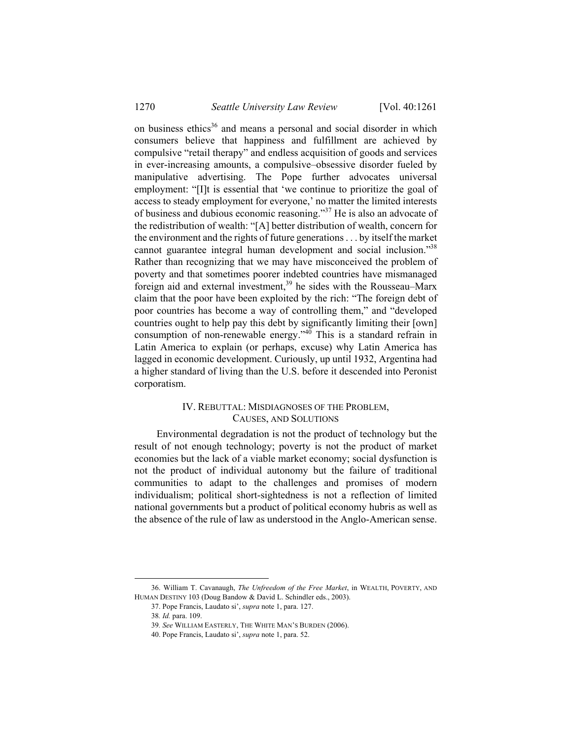1270 *Seattle University Law Review* [Vol. 40:1261

on business ethics<sup>36</sup> and means a personal and social disorder in which consumers believe that happiness and fulfillment are achieved by compulsive "retail therapy" and endless acquisition of goods and services in ever-increasing amounts, a compulsive–obsessive disorder fueled by manipulative advertising. The Pope further advocates universal employment: "[I]t is essential that 'we continue to prioritize the goal of access to steady employment for everyone,' no matter the limited interests of business and dubious economic reasoning."37 He is also an advocate of the redistribution of wealth: "[A] better distribution of wealth, concern for the environment and the rights of future generations . . . by itself the market cannot guarantee integral human development and social inclusion."38 Rather than recognizing that we may have misconceived the problem of poverty and that sometimes poorer indebted countries have mismanaged foreign aid and external investment,<sup>39</sup> he sides with the Rousseau–Marx claim that the poor have been exploited by the rich: "The foreign debt of poor countries has become a way of controlling them," and "developed countries ought to help pay this debt by significantly limiting their [own] consumption of non-renewable energy."40 This is a standard refrain in Latin America to explain (or perhaps, excuse) why Latin America has lagged in economic development. Curiously, up until 1932, Argentina had a higher standard of living than the U.S. before it descended into Peronist corporatism.

## IV. REBUTTAL: MISDIAGNOSES OF THE PROBLEM, CAUSES, AND SOLUTIONS

Environmental degradation is not the product of technology but the result of not enough technology; poverty is not the product of market economies but the lack of a viable market economy; social dysfunction is not the product of individual autonomy but the failure of traditional communities to adapt to the challenges and promises of modern individualism; political short-sightedness is not a reflection of limited national governments but a product of political economy hubris as well as the absence of the rule of law as understood in the Anglo-American sense.

 <sup>36.</sup> William T. Cavanaugh, *The Unfreedom of the Free Market*, in WEALTH, POVERTY, AND HUMAN DESTINY 103 (Doug Bandow & David L. Schindler eds., 2003).

 <sup>37.</sup> Pope Francis, Laudato si', *supra* note 1, para. 127.

<sup>38</sup>*. Id.* para. 109.

<sup>39</sup>*. See* WILLIAM EASTERLY, THE WHITE MAN'S BURDEN (2006).

 <sup>40.</sup> Pope Francis, Laudato si', *supra* note 1, para. 52.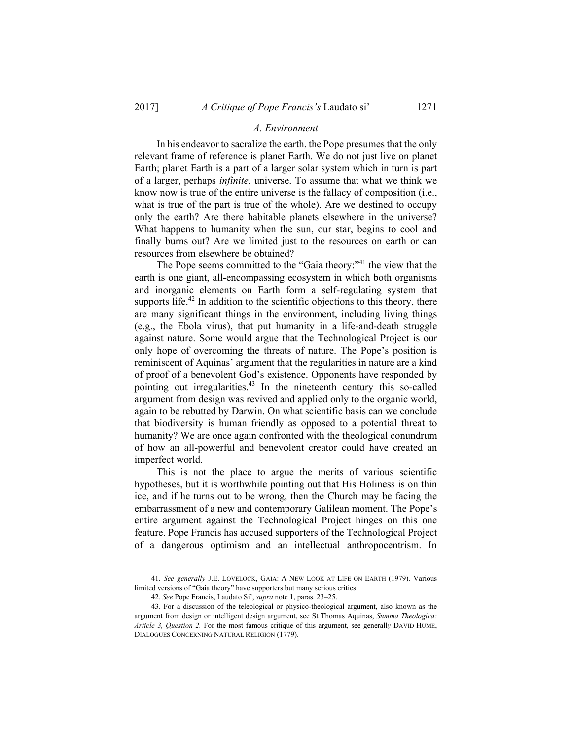#### *A. Environment*

In his endeavor to sacralize the earth, the Pope presumes that the only relevant frame of reference is planet Earth. We do not just live on planet Earth; planet Earth is a part of a larger solar system which in turn is part of a larger, perhaps *infinite*, universe. To assume that what we think we know now is true of the entire universe is the fallacy of composition (i.e., what is true of the part is true of the whole). Are we destined to occupy only the earth? Are there habitable planets elsewhere in the universe? What happens to humanity when the sun, our star, begins to cool and finally burns out? Are we limited just to the resources on earth or can resources from elsewhere be obtained?

The Pope seems committed to the "Gaia theory: $14$ " the view that the earth is one giant, all-encompassing ecosystem in which both organisms and inorganic elements on Earth form a self-regulating system that supports life.<sup>42</sup> In addition to the scientific objections to this theory, there are many significant things in the environment, including living things (e.g., the Ebola virus), that put humanity in a life-and-death struggle against nature. Some would argue that the Technological Project is our only hope of overcoming the threats of nature. The Pope's position is reminiscent of Aquinas' argument that the regularities in nature are a kind of proof of a benevolent God's existence. Opponents have responded by pointing out irregularities.<sup>43</sup> In the nineteenth century this so-called argument from design was revived and applied only to the organic world, again to be rebutted by Darwin. On what scientific basis can we conclude that biodiversity is human friendly as opposed to a potential threat to humanity? We are once again confronted with the theological conundrum of how an all-powerful and benevolent creator could have created an imperfect world.

This is not the place to argue the merits of various scientific hypotheses, but it is worthwhile pointing out that His Holiness is on thin ice, and if he turns out to be wrong, then the Church may be facing the embarrassment of a new and contemporary Galilean moment. The Pope's entire argument against the Technological Project hinges on this one feature. Pope Francis has accused supporters of the Technological Project of a dangerous optimism and an intellectual anthropocentrism. In

 <sup>41</sup>*. See generally* J.E. LOVELOCK, GAIA: <sup>A</sup> NEW LOOK AT LIFE ON EARTH (1979). Various limited versions of "Gaia theory" have supporters but many serious critics.

<sup>42</sup>*. See* Pope Francis, Laudato Si', *supra* note 1, paras. 23–25.

 <sup>43.</sup> For a discussion of the teleological or physico-theological argument, also known as the argument from design or intelligent design argument, see St Thomas Aquinas, *Summa Theologica: Article 3, Question 2.* For the most famous critique of this argument, see generall*y* DAVID HUME, DIALOGUES CONCERNING NATURAL RELIGION (1779).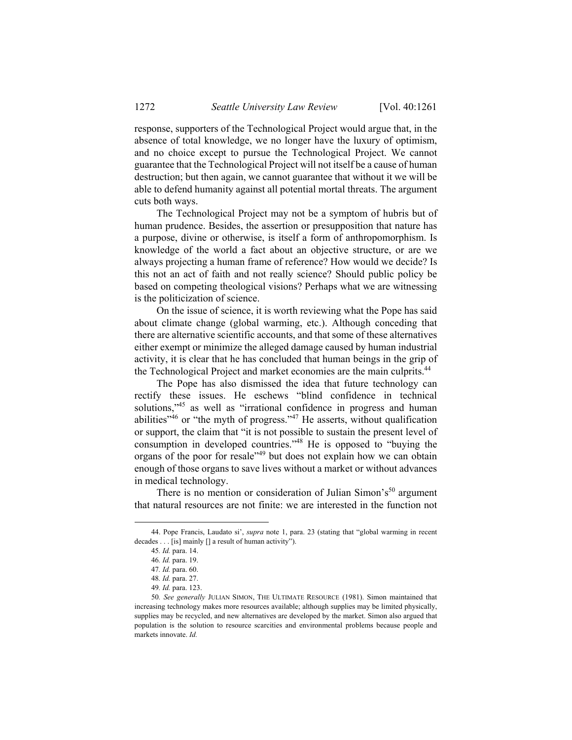response, supporters of the Technological Project would argue that, in the absence of total knowledge, we no longer have the luxury of optimism, and no choice except to pursue the Technological Project. We cannot guarantee that the Technological Project will not itself be a cause of human destruction; but then again, we cannot guarantee that without it we will be able to defend humanity against all potential mortal threats. The argument cuts both ways.

The Technological Project may not be a symptom of hubris but of human prudence. Besides, the assertion or presupposition that nature has a purpose, divine or otherwise, is itself a form of anthropomorphism. Is knowledge of the world a fact about an objective structure, or are we always projecting a human frame of reference? How would we decide? Is this not an act of faith and not really science? Should public policy be based on competing theological visions? Perhaps what we are witnessing is the politicization of science.

On the issue of science, it is worth reviewing what the Pope has said about climate change (global warming, etc.). Although conceding that there are alternative scientific accounts, and that some of these alternatives either exempt or minimize the alleged damage caused by human industrial activity, it is clear that he has concluded that human beings in the grip of the Technological Project and market economies are the main culprits.<sup>44</sup>

The Pope has also dismissed the idea that future technology can rectify these issues. He eschews "blind confidence in technical solutions,"<sup>45</sup> as well as "irrational confidence in progress and human abilities"46 or "the myth of progress."47 He asserts, without qualification or support, the claim that "it is not possible to sustain the present level of consumption in developed countries."48 He is opposed to "buying the organs of the poor for resale"49 but does not explain how we can obtain enough of those organs to save lives without a market or without advances in medical technology.

There is no mention or consideration of Julian Simon's<sup>50</sup> argument that natural resources are not finite: we are interested in the function not

 <sup>44.</sup> Pope Francis, Laudato si', *supra* note 1, para. 23 (stating that "global warming in recent decades . . . [is] mainly [] a result of human activity").

<sup>45</sup>*. Id.* para. 14.

<sup>46</sup>*. Id.* para. 19.

<sup>47</sup>*. Id.* para. 60.

<sup>48</sup>*. Id.* para. 27.

<sup>49</sup>*. Id.* para. 123.

<sup>50</sup>*. See generally* JULIAN SIMON, THE ULTIMATE RESOURCE (1981). Simon maintained that increasing technology makes more resources available; although supplies may be limited physically, supplies may be recycled, and new alternatives are developed by the market. Simon also argued that population is the solution to resource scarcities and environmental problems because people and markets innovate. *Id.*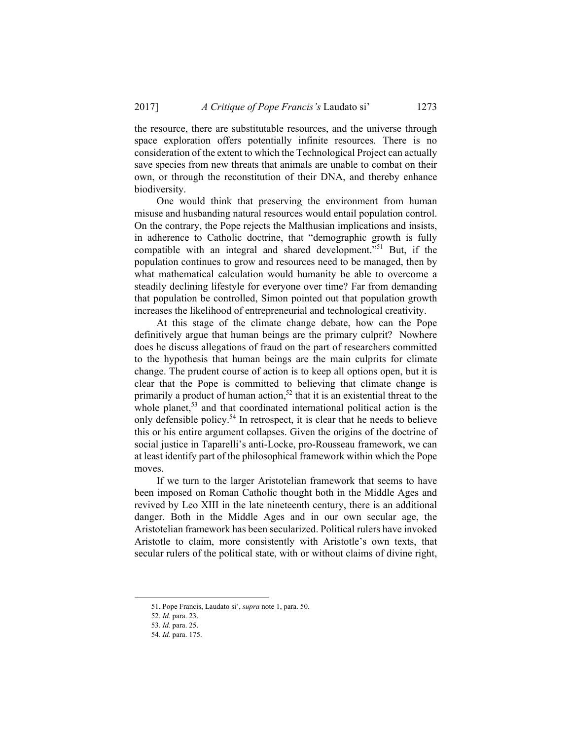the resource, there are substitutable resources, and the universe through space exploration offers potentially infinite resources. There is no consideration of the extent to which the Technological Project can actually save species from new threats that animals are unable to combat on their own, or through the reconstitution of their DNA, and thereby enhance biodiversity.

One would think that preserving the environment from human misuse and husbanding natural resources would entail population control. On the contrary, the Pope rejects the Malthusian implications and insists, in adherence to Catholic doctrine, that "demographic growth is fully compatible with an integral and shared development."<sup>51</sup> But, if the population continues to grow and resources need to be managed, then by what mathematical calculation would humanity be able to overcome a steadily declining lifestyle for everyone over time? Far from demanding that population be controlled, Simon pointed out that population growth increases the likelihood of entrepreneurial and technological creativity.

At this stage of the climate change debate, how can the Pope definitively argue that human beings are the primary culprit? Nowhere does he discuss allegations of fraud on the part of researchers committed to the hypothesis that human beings are the main culprits for climate change. The prudent course of action is to keep all options open, but it is clear that the Pope is committed to believing that climate change is primarily a product of human action,<sup>52</sup> that it is an existential threat to the whole planet, $53$  and that coordinated international political action is the only defensible policy.54 In retrospect, it is clear that he needs to believe this or his entire argument collapses. Given the origins of the doctrine of social justice in Taparelli's anti-Locke, pro-Rousseau framework, we can at least identify part of the philosophical framework within which the Pope moves.

If we turn to the larger Aristotelian framework that seems to have been imposed on Roman Catholic thought both in the Middle Ages and revived by Leo XIII in the late nineteenth century, there is an additional danger. Both in the Middle Ages and in our own secular age, the Aristotelian framework has been secularized. Political rulers have invoked Aristotle to claim, more consistently with Aristotle's own texts, that secular rulers of the political state, with or without claims of divine right,

 <sup>51.</sup> Pope Francis, Laudato si', *supra* note 1, para. 50.

<sup>52</sup>*. Id.* para. 23.

<sup>53</sup>*. Id.* para. 25.

<sup>54</sup>*. Id.* para. 175.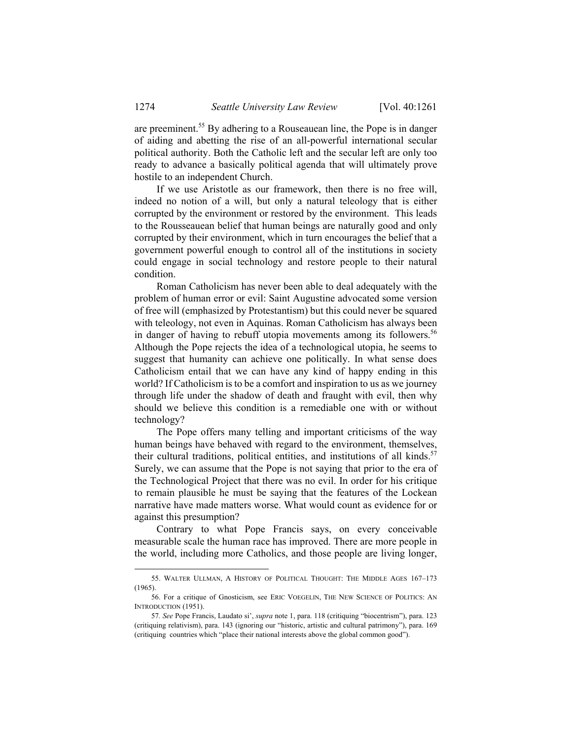are preeminent.<sup>55</sup> By adhering to a Rouseauean line, the Pope is in danger of aiding and abetting the rise of an all-powerful international secular political authority. Both the Catholic left and the secular left are only too ready to advance a basically political agenda that will ultimately prove hostile to an independent Church.

If we use Aristotle as our framework, then there is no free will, indeed no notion of a will, but only a natural teleology that is either corrupted by the environment or restored by the environment. This leads to the Rousseauean belief that human beings are naturally good and only corrupted by their environment, which in turn encourages the belief that a government powerful enough to control all of the institutions in society could engage in social technology and restore people to their natural condition.

Roman Catholicism has never been able to deal adequately with the problem of human error or evil: Saint Augustine advocated some version of free will (emphasized by Protestantism) but this could never be squared with teleology, not even in Aquinas. Roman Catholicism has always been in danger of having to rebuff utopia movements among its followers.<sup>56</sup> Although the Pope rejects the idea of a technological utopia, he seems to suggest that humanity can achieve one politically. In what sense does Catholicism entail that we can have any kind of happy ending in this world? If Catholicism is to be a comfort and inspiration to us as we journey through life under the shadow of death and fraught with evil, then why should we believe this condition is a remediable one with or without technology?

The Pope offers many telling and important criticisms of the way human beings have behaved with regard to the environment, themselves, their cultural traditions, political entities, and institutions of all kinds.<sup>57</sup> Surely, we can assume that the Pope is not saying that prior to the era of the Technological Project that there was no evil. In order for his critique to remain plausible he must be saying that the features of the Lockean narrative have made matters worse. What would count as evidence for or against this presumption?

Contrary to what Pope Francis says, on every conceivable measurable scale the human race has improved. There are more people in the world, including more Catholics, and those people are living longer,

 <sup>55.</sup> WALTER ULLMAN, A HISTORY OF POLITICAL THOUGHT: THE MIDDLE AGES 167–173 (1965).

 <sup>56.</sup> For a critique of Gnosticism, see ERIC VOEGELIN, THE NEW SCIENCE OF POLITICS: AN INTRODUCTION (1951).

<sup>57</sup>*. See* Pope Francis, Laudato si', *supra* note 1, para. 118 (critiquing "biocentrism"), para. 123 (critiquing relativism), para. 143 (ignoring our "historic, artistic and cultural patrimony"), para. 169 (critiquing countries which "place their national interests above the global common good").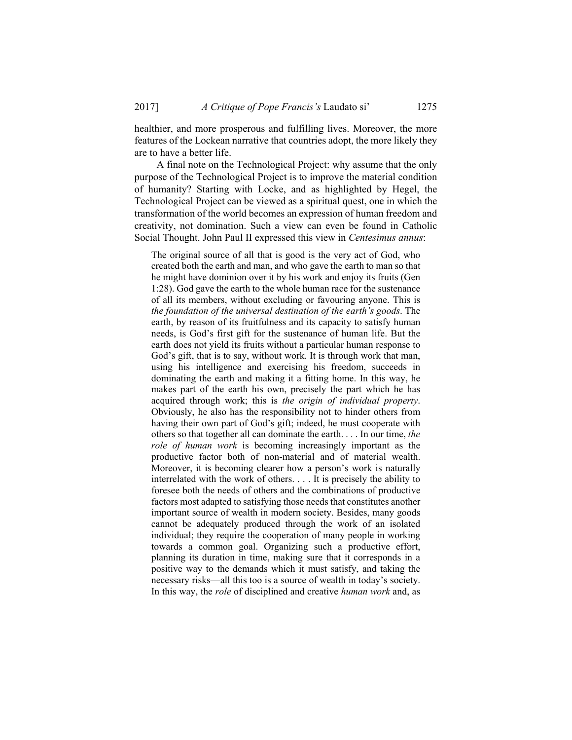healthier, and more prosperous and fulfilling lives. Moreover, the more features of the Lockean narrative that countries adopt, the more likely they are to have a better life.

A final note on the Technological Project: why assume that the only purpose of the Technological Project is to improve the material condition of humanity? Starting with Locke, and as highlighted by Hegel, the Technological Project can be viewed as a spiritual quest, one in which the transformation of the world becomes an expression of human freedom and creativity, not domination. Such a view can even be found in Catholic Social Thought. John Paul II expressed this view in *Centesimus annus*:

The original source of all that is good is the very act of God, who created both the earth and man, and who gave the earth to man so that he might have dominion over it by his work and enjoy its fruits (Gen 1:28). God gave the earth to the whole human race for the sustenance of all its members, without excluding or favouring anyone. This is *the foundation of the universal destination of the earth's goods*. The earth, by reason of its fruitfulness and its capacity to satisfy human needs, is God's first gift for the sustenance of human life. But the earth does not yield its fruits without a particular human response to God's gift, that is to say, without work. It is through work that man, using his intelligence and exercising his freedom, succeeds in dominating the earth and making it a fitting home. In this way, he makes part of the earth his own, precisely the part which he has acquired through work; this is *the origin of individual property*. Obviously, he also has the responsibility not to hinder others from having their own part of God's gift; indeed, he must cooperate with others so that together all can dominate the earth. . . . In our time, *the role of human work* is becoming increasingly important as the productive factor both of non-material and of material wealth. Moreover, it is becoming clearer how a person's work is naturally interrelated with the work of others. . . . It is precisely the ability to foresee both the needs of others and the combinations of productive factors most adapted to satisfying those needs that constitutes another important source of wealth in modern society. Besides, many goods cannot be adequately produced through the work of an isolated individual; they require the cooperation of many people in working towards a common goal. Organizing such a productive effort, planning its duration in time, making sure that it corresponds in a positive way to the demands which it must satisfy, and taking the necessary risks—all this too is a source of wealth in today's society. In this way, the *role* of disciplined and creative *human work* and, as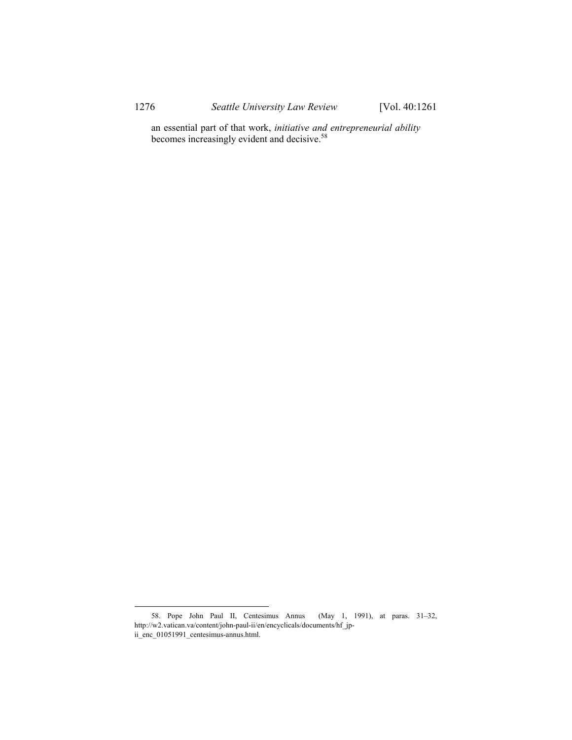1

an essential part of that work, *initiative and entrepreneurial ability* becomes increasingly evident and decisive.<sup>58</sup>

 <sup>58.</sup> Pope John Paul II, Centesimus Annus (May 1, 1991), at paras. 31–32, http://w2.vatican.va/content/john-paul-ii/en/encyclicals/documents/hf\_jpii\_enc\_01051991\_centesimus-annus.html.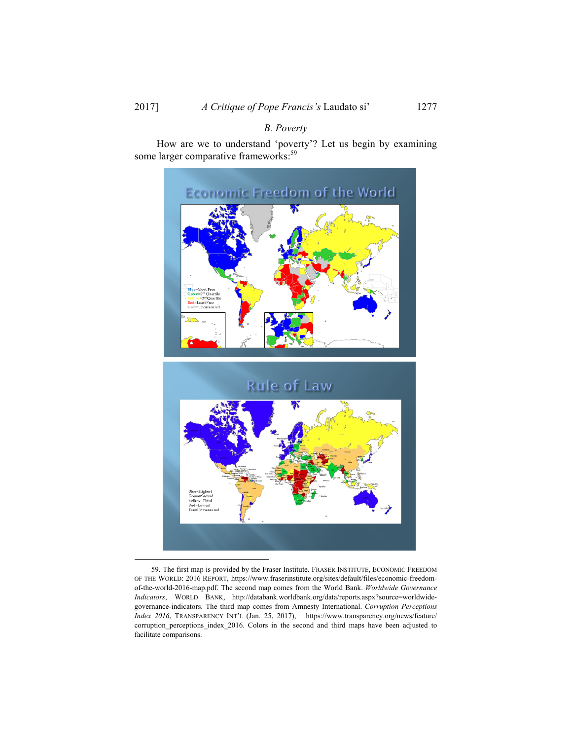## *B. Poverty*

How are we to understand 'poverty'? Let us begin by examining some larger comparative frameworks:<sup>59</sup>



 <sup>59.</sup> The first map is provided by the Fraser Institute. FRASER INSTITUTE, ECONOMIC FREEDOM OF THE WORLD: 2016 REPORT, https://www.fraserinstitute.org/sites/default/files/economic-freedomof-the-world-2016-map.pdf. The second map comes from the World Bank. *Worldwide Governance Indicators*, WORLD BANK, http://databank.worldbank.org/data/reports.aspx?source=worldwidegovernance-indicators. The third map comes from Amnesty International. *Corruption Perceptions Index 2016*, TRANSPARENCY INT'L (Jan. 25, 2017), https://www.transparency.org/news/feature/ corruption\_perceptions\_index\_2016. Colors in the second and third maps have been adjusted to facilitate comparisons.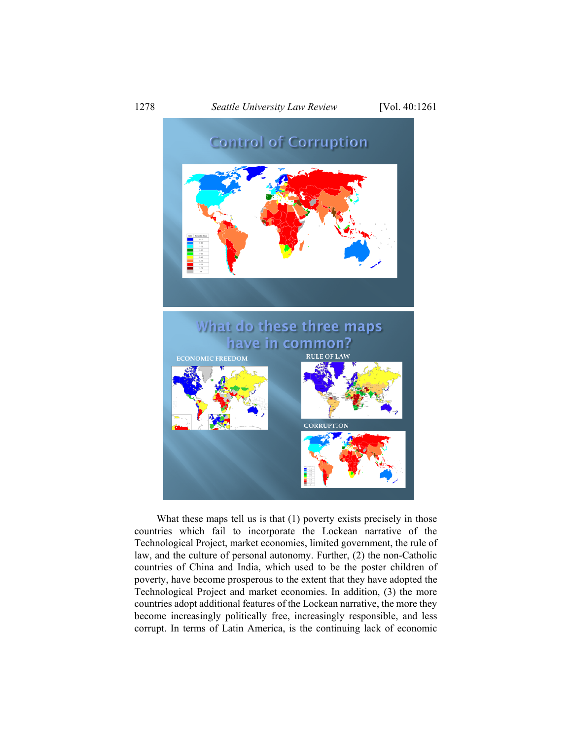

What these maps tell us is that (1) poverty exists precisely in those countries which fail to incorporate the Lockean narrative of the Technological Project, market economies, limited government, the rule of law, and the culture of personal autonomy. Further, (2) the non-Catholic countries of China and India, which used to be the poster children of poverty, have become prosperous to the extent that they have adopted the Technological Project and market economies. In addition, (3) the more countries adopt additional features of the Lockean narrative, the more they become increasingly politically free, increasingly responsible, and less corrupt. In terms of Latin America, is the continuing lack of economic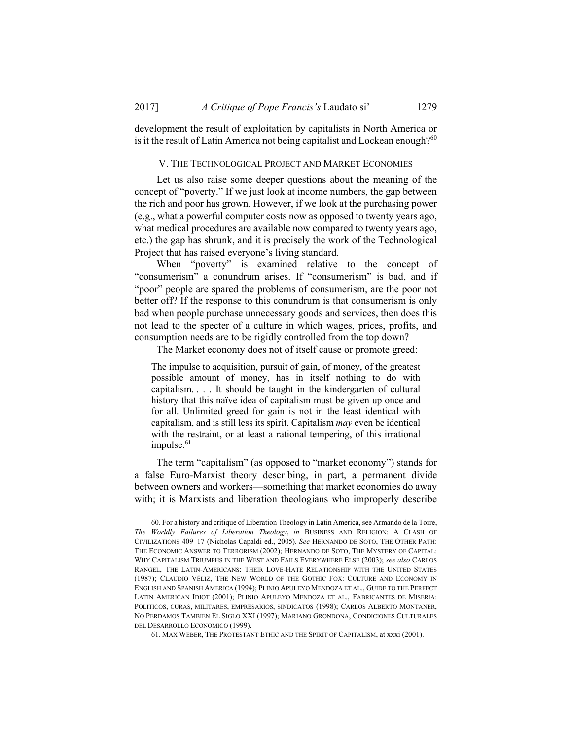development the result of exploitation by capitalists in North America or is it the result of Latin America not being capitalist and Lockean enough? $60$ 

### V. THE TECHNOLOGICAL PROJECT AND MARKET ECONOMIES

Let us also raise some deeper questions about the meaning of the concept of "poverty." If we just look at income numbers, the gap between the rich and poor has grown. However, if we look at the purchasing power (e.g., what a powerful computer costs now as opposed to twenty years ago, what medical procedures are available now compared to twenty years ago, etc.) the gap has shrunk, and it is precisely the work of the Technological Project that has raised everyone's living standard.

When "poverty" is examined relative to the concept of "consumerism" a conundrum arises. If "consumerism" is bad, and if "poor" people are spared the problems of consumerism, are the poor not better off? If the response to this conundrum is that consumerism is only bad when people purchase unnecessary goods and services, then does this not lead to the specter of a culture in which wages, prices, profits, and consumption needs are to be rigidly controlled from the top down?

The Market economy does not of itself cause or promote greed:

The impulse to acquisition, pursuit of gain, of money, of the greatest possible amount of money, has in itself nothing to do with capitalism. . . . It should be taught in the kindergarten of cultural history that this naïve idea of capitalism must be given up once and for all. Unlimited greed for gain is not in the least identical with capitalism, and is still less its spirit. Capitalism *may* even be identical with the restraint, or at least a rational tempering, of this irrational impulse.<sup>61</sup>

The term "capitalism" (as opposed to "market economy") stands for a false Euro-Marxist theory describing, in part, a permanent divide between owners and workers—something that market economies do away with; it is Marxists and liberation theologians who improperly describe

 <sup>60.</sup> For a history and critique of Liberation Theology in Latin America, see Armando de la Torre, *The Worldly Failures of Liberation Theology*, *in* BUSINESS AND RELIGION: A CLASH OF CIVILIZATIONS 409–17 (Nicholas Capaldi ed., 2005). *See* HERNANDO DE SOTO, THE OTHER PATH: THE ECONOMIC ANSWER TO TERRORISM (2002); HERNANDO DE SOTO, THE MYSTERY OF CAPITAL: WHY CAPITALISM TRIUMPHS IN THE WEST AND FAILS EVERYWHERE ELSE (2003); *see also* CARLOS RANGEL, THE LATIN-AMERICANS: THEIR LOVE-HATE RELATIONSHIP WITH THE UNITED STATES (1987); CLAUDIO VÉLIZ, THE NEW WORLD OF THE GOTHIC FOX: CULTURE AND ECONOMY IN ENGLISH AND SPANISH AMERICA (1994); PLINIO APULEYO MENDOZA ET AL., GUIDE TO THE PERFECT LATIN AMERICAN IDIOT (2001); PLINIO APULEYO MENDOZA ET AL*.*, FABRICANTES DE MISERIA: POLITICOS, CURAS, MILITARES, EMPRESARIOS, SINDICATOS (1998); CARLOS ALBERTO MONTANER, NO PERDAMOS TAMBIEN EL SIGLO XXI (1997); MARIANO GRONDONA, CONDICIONES CULTURALES DEL DESARROLLO ECONOMICO (1999).

 <sup>61.</sup> MAX WEBER, THE PROTESTANT ETHIC AND THE SPIRIT OF CAPITALISM, at xxxi (2001).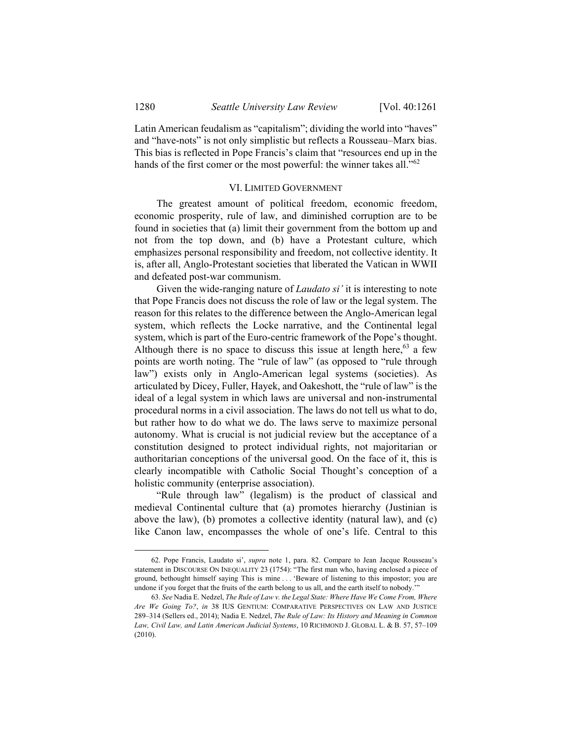Latin American feudalism as "capitalism"; dividing the world into "haves" and "have-nots" is not only simplistic but reflects a Rousseau–Marx bias. This bias is reflected in Pope Francis's claim that "resources end up in the hands of the first comer or the most powerful: the winner takes all."<sup>62</sup>

#### VI. LIMITED GOVERNMENT

The greatest amount of political freedom, economic freedom, economic prosperity, rule of law, and diminished corruption are to be found in societies that (a) limit their government from the bottom up and not from the top down, and (b) have a Protestant culture, which emphasizes personal responsibility and freedom, not collective identity. It is, after all, Anglo-Protestant societies that liberated the Vatican in WWII and defeated post-war communism.

Given the wide-ranging nature of *Laudato si'* it is interesting to note that Pope Francis does not discuss the role of law or the legal system. The reason for this relates to the difference between the Anglo-American legal system, which reflects the Locke narrative, and the Continental legal system, which is part of the Euro-centric framework of the Pope's thought. Although there is no space to discuss this issue at length here,  $63$  a few points are worth noting. The "rule of law" (as opposed to "rule through law") exists only in Anglo-American legal systems (societies). As articulated by Dicey, Fuller, Hayek, and Oakeshott, the "rule of law" is the ideal of a legal system in which laws are universal and non-instrumental procedural norms in a civil association. The laws do not tell us what to do, but rather how to do what we do. The laws serve to maximize personal autonomy. What is crucial is not judicial review but the acceptance of a constitution designed to protect individual rights, not majoritarian or authoritarian conceptions of the universal good. On the face of it, this is clearly incompatible with Catholic Social Thought's conception of a holistic community (enterprise association).

"Rule through law" (legalism) is the product of classical and medieval Continental culture that (a) promotes hierarchy (Justinian is above the law), (b) promotes a collective identity (natural law), and (c) like Canon law, encompasses the whole of one's life. Central to this

 <sup>62.</sup> Pope Francis, Laudato si', *supra* note 1, para. 82. Compare to Jean Jacque Rousseau's statement in DISCOURSE ON INEQUALITY 23 (1754): "The first man who, having enclosed a piece of ground, bethought himself saying This is mine . . . 'Beware of listening to this impostor; you are undone if you forget that the fruits of the earth belong to us all, and the earth itself to nobody.'"

<sup>63</sup>*. See* Nadia E. Nedzel, *The Rule of Law v. the Legal State: Where Have We Come From, Where Are We Going To?*, *in* 38 IUS GENTIUM: COMPARATIVE PERSPECTIVES ON LAW AND JUSTICE 289–314 (Sellers ed., 2014); Nadia E. Nedzel, *The Rule of Law: Its History and Meaning in Common Law, Civil Law, and Latin American Judicial Systems*, 10 RICHMOND J. GLOBAL L. & B. 57, 57–109 (2010).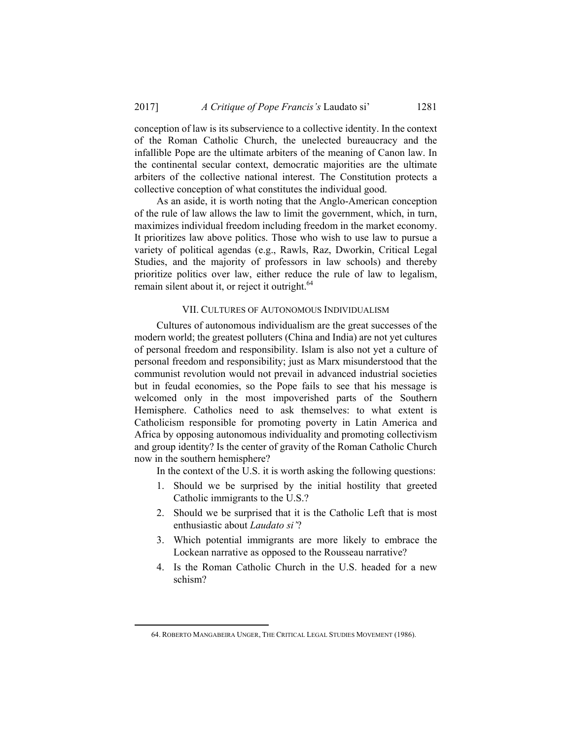conception of law is its subservience to a collective identity. In the context of the Roman Catholic Church, the unelected bureaucracy and the infallible Pope are the ultimate arbiters of the meaning of Canon law. In the continental secular context, democratic majorities are the ultimate arbiters of the collective national interest. The Constitution protects a collective conception of what constitutes the individual good.

As an aside, it is worth noting that the Anglo-American conception of the rule of law allows the law to limit the government, which, in turn, maximizes individual freedom including freedom in the market economy. It prioritizes law above politics. Those who wish to use law to pursue a variety of political agendas (e.g., Rawls, Raz, Dworkin, Critical Legal Studies, and the majority of professors in law schools) and thereby prioritize politics over law, either reduce the rule of law to legalism, remain silent about it, or reject it outright.<sup>64</sup>

### VII. CULTURES OF AUTONOMOUS INDIVIDUALISM

Cultures of autonomous individualism are the great successes of the modern world; the greatest polluters (China and India) are not yet cultures of personal freedom and responsibility. Islam is also not yet a culture of personal freedom and responsibility; just as Marx misunderstood that the communist revolution would not prevail in advanced industrial societies but in feudal economies, so the Pope fails to see that his message is welcomed only in the most impoverished parts of the Southern Hemisphere. Catholics need to ask themselves: to what extent is Catholicism responsible for promoting poverty in Latin America and Africa by opposing autonomous individuality and promoting collectivism and group identity? Is the center of gravity of the Roman Catholic Church now in the southern hemisphere?

In the context of the U.S. it is worth asking the following questions:

- 1. Should we be surprised by the initial hostility that greeted Catholic immigrants to the U.S.?
- 2. Should we be surprised that it is the Catholic Left that is most enthusiastic about *Laudato si'*?
- 3. Which potential immigrants are more likely to embrace the Lockean narrative as opposed to the Rousseau narrative?
- 4. Is the Roman Catholic Church in the U.S. headed for a new schism?

 <sup>64.</sup> ROBERTO MANGABEIRA UNGER, THE CRITICAL LEGAL STUDIES MOVEMENT (1986).